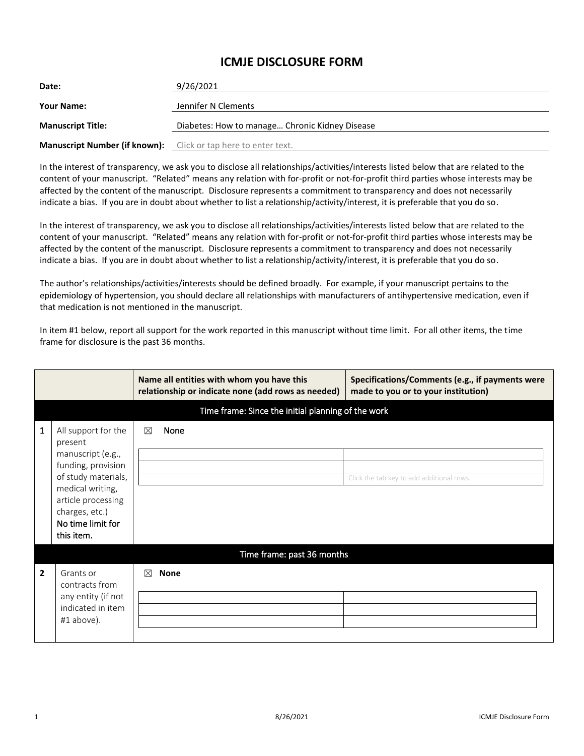## **ICMJE DISCLOSURE FORM**

| Date:                                                                 | 9/26/2021                                      |
|-----------------------------------------------------------------------|------------------------------------------------|
| <b>Your Name:</b>                                                     | Jennifer N Clements                            |
| <b>Manuscript Title:</b>                                              | Diabetes: How to manage Chronic Kidney Disease |
| <b>Manuscript Number (if known):</b> Click or tap here to enter text. |                                                |

In the interest of transparency, we ask you to disclose all relationships/activities/interests listed below that are related to the content of your manuscript. "Related" means any relation with for-profit or not-for-profit third parties whose interests may be affected by the content of the manuscript. Disclosure represents a commitment to transparency and does not necessarily indicate a bias. If you are in doubt about whether to list a relationship/activity/interest, it is preferable that you do so.

In the interest of transparency, we ask you to disclose all relationships/activities/interests listed below that are related to the content of your manuscript. "Related" means any relation with for-profit or not-for-profit third parties whose interests may be affected by the content of the manuscript. Disclosure represents a commitment to transparency and does not necessarily indicate a bias. If you are in doubt about whether to list a relationship/activity/interest, it is preferable that you do so.

The author's relationships/activities/interests should be defined broadly. For example, if your manuscript pertains to the epidemiology of hypertension, you should declare all relationships with manufacturers of antihypertensive medication, even if that medication is not mentioned in the manuscript.

In item #1 below, report all support for the work reported in this manuscript without time limit. For all other items, the time frame for disclosure is the past 36 months.

|                |                                                                                                                                                                                   |   | Name all entities with whom you have this<br>relationship or indicate none (add rows as needed) | Specifications/Comments (e.g., if payments were<br>made to you or to your institution) |
|----------------|-----------------------------------------------------------------------------------------------------------------------------------------------------------------------------------|---|-------------------------------------------------------------------------------------------------|----------------------------------------------------------------------------------------|
|                | Time frame: Since the initial planning of the work                                                                                                                                |   |                                                                                                 |                                                                                        |
| 1              | All support for the<br>present<br>manuscript (e.g.,<br>funding, provision<br>of study materials,<br>medical writing,<br>article processing<br>charges, etc.)<br>No time limit for | ⊠ | None                                                                                            | Click the tab key to add additional rows.                                              |
|                | this item.                                                                                                                                                                        |   |                                                                                                 |                                                                                        |
|                |                                                                                                                                                                                   |   | Time frame: past 36 months                                                                      |                                                                                        |
| $\overline{2}$ | Grants or<br>contracts from<br>any entity (if not<br>indicated in item<br>#1 above).                                                                                              | ⊠ | <b>None</b>                                                                                     |                                                                                        |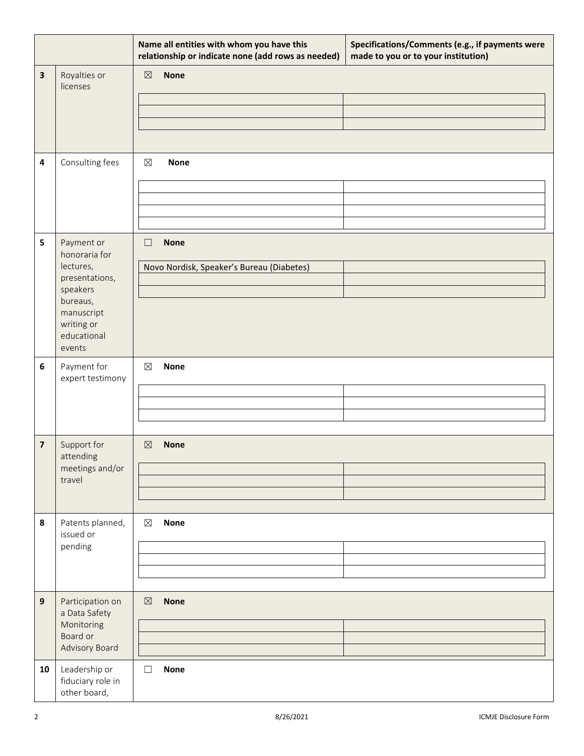|    |                                                                                                                                         | Name all entities with whom you have this<br>relationship or indicate none (add rows as needed) | Specifications/Comments (e.g., if payments were<br>made to you or to your institution) |
|----|-----------------------------------------------------------------------------------------------------------------------------------------|-------------------------------------------------------------------------------------------------|----------------------------------------------------------------------------------------|
| 3  | Royalties or<br>licenses                                                                                                                | <b>None</b><br>$\boxtimes$                                                                      |                                                                                        |
| 4  | Consulting fees                                                                                                                         | $\boxtimes$<br><b>None</b>                                                                      |                                                                                        |
| 5  | Payment or<br>honoraria for<br>lectures,<br>presentations,<br>speakers<br>bureaus,<br>manuscript<br>writing or<br>educational<br>events | <b>None</b><br>$\Box$<br>Novo Nordisk, Speaker's Bureau (Diabetes)                              |                                                                                        |
| 6  | Payment for<br>expert testimony                                                                                                         | $\boxtimes$<br><b>None</b>                                                                      |                                                                                        |
| 7  | Support for<br>attending<br>meetings and/or<br>travel                                                                                   | <b>None</b><br>$\boxtimes$                                                                      |                                                                                        |
| 8  | Patents planned,<br>issued or<br>pending                                                                                                | $\boxtimes$<br><b>None</b>                                                                      |                                                                                        |
| 9  | Participation on<br>a Data Safety<br>Monitoring<br>Board or<br>Advisory Board                                                           | <b>None</b><br>$\boxtimes$                                                                      |                                                                                        |
| 10 | Leadership or<br>fiduciary role in<br>other board,                                                                                      | $\Box$<br><b>None</b>                                                                           |                                                                                        |